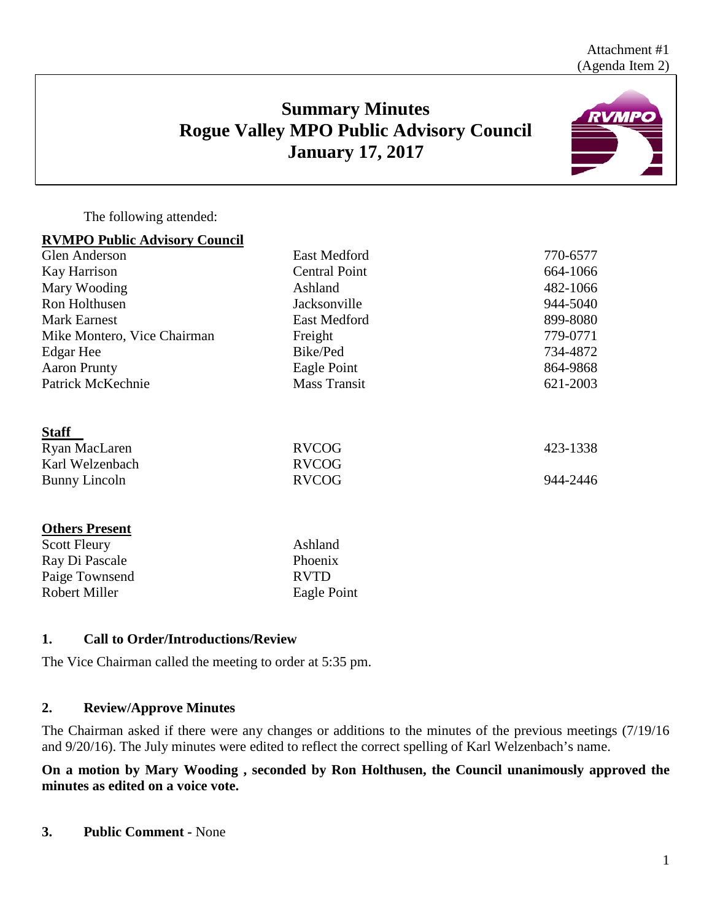# **Summary Minutes Rogue Valley MPO Public Advisory Council January 17, 2017**



The following attended:

### **RVMPO Public Advisory Council**

| <b>Glen Anderson</b>        | <b>East Medford</b>  | 770-6577 |
|-----------------------------|----------------------|----------|
| Kay Harrison                | <b>Central Point</b> | 664-1066 |
| Mary Wooding                | Ashland              | 482-1066 |
| Ron Holthusen               | Jacksonville         | 944-5040 |
| <b>Mark Earnest</b>         | <b>East Medford</b>  | 899-8080 |
| Mike Montero, Vice Chairman | Freight              | 779-0771 |
| Edgar Hee                   | Bike/Ped             | 734-4872 |
| <b>Aaron Prunty</b>         | Eagle Point          | 864-9868 |
| Patrick McKechnie           | <b>Mass Transit</b>  | 621-2003 |
| <b>Staff</b>                |                      |          |
| Ryan MacLaren               | <b>RVCOG</b>         | 423-1338 |
| Karl Welzenbach             | <b>RVCOG</b>         |          |
| Bunny Lincoln               | <b>RVCOG</b>         | 944-2446 |
| <b>Others Present</b>       |                      |          |
| <b>Scott Fleury</b>         | Ashland              |          |
| Ray Di Pascale              | Phoenix              |          |
| Paige Townsend              | <b>RVTD</b>          |          |

### **1. Call to Order/Introductions/Review**

The Vice Chairman called the meeting to order at 5:35 pm.

Robert Miller Eagle Point

### **2. Review/Approve Minutes**

The Chairman asked if there were any changes or additions to the minutes of the previous meetings (7/19/16 and 9/20/16). The July minutes were edited to reflect the correct spelling of Karl Welzenbach's name.

### **On a motion by Mary Wooding , seconded by Ron Holthusen, the Council unanimously approved the minutes as edited on a voice vote.**

**3. Public Comment -** None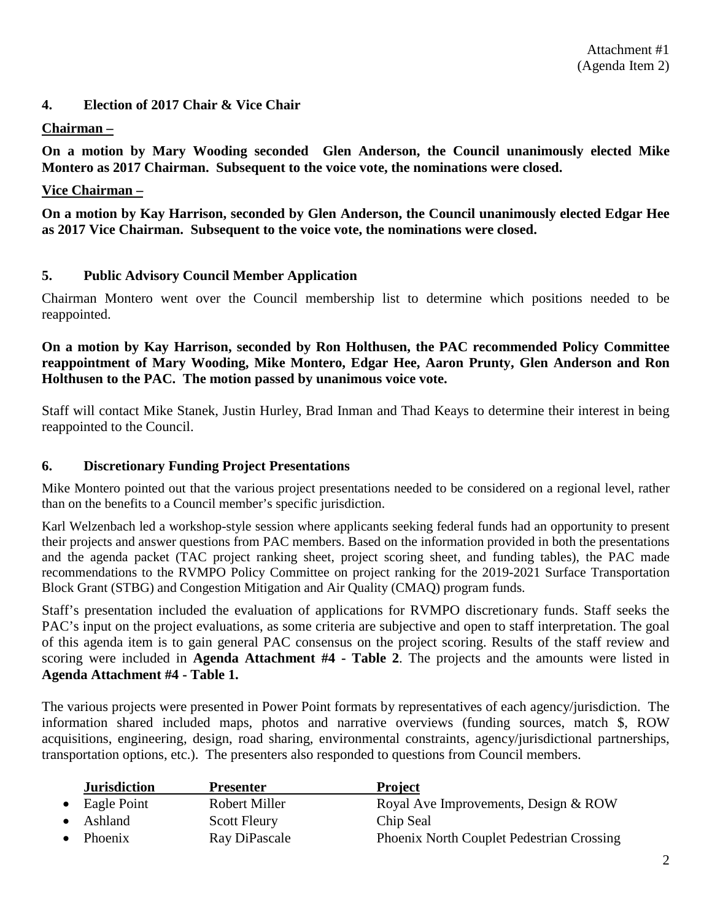#### **4. Election of 2017 Chair & Vice Chair**

#### **Chairman –**

**On a motion by Mary Wooding seconded Glen Anderson, the Council unanimously elected Mike Montero as 2017 Chairman. Subsequent to the voice vote, the nominations were closed.**

#### **Vice Chairman –**

**On a motion by Kay Harrison, seconded by Glen Anderson, the Council unanimously elected Edgar Hee as 2017 Vice Chairman. Subsequent to the voice vote, the nominations were closed.** 

#### **5. Public Advisory Council Member Application**

Chairman Montero went over the Council membership list to determine which positions needed to be reappointed.

### **On a motion by Kay Harrison, seconded by Ron Holthusen, the PAC recommended Policy Committee reappointment of Mary Wooding, Mike Montero, Edgar Hee, Aaron Prunty, Glen Anderson and Ron Holthusen to the PAC. The motion passed by unanimous voice vote.**

Staff will contact Mike Stanek, Justin Hurley, Brad Inman and Thad Keays to determine their interest in being reappointed to the Council.

#### **6. Discretionary Funding Project Presentations**

Mike Montero pointed out that the various project presentations needed to be considered on a regional level, rather than on the benefits to a Council member's specific jurisdiction.

Karl Welzenbach led a workshop-style session where applicants seeking federal funds had an opportunity to present their projects and answer questions from PAC members. Based on the information provided in both the presentations and the agenda packet (TAC project ranking sheet, project scoring sheet, and funding tables), the PAC made recommendations to the RVMPO Policy Committee on project ranking for the 2019-2021 Surface Transportation Block Grant (STBG) and Congestion Mitigation and Air Quality (CMAQ) program funds.

Staff's presentation included the evaluation of applications for RVMPO discretionary funds. Staff seeks the PAC's input on the project evaluations, as some criteria are subjective and open to staff interpretation. The goal of this agenda item is to gain general PAC consensus on the project scoring. Results of the staff review and scoring were included in **Agenda Attachment #4 - Table 2**. The projects and the amounts were listed in **Agenda Attachment #4 - Table 1.**

The various projects were presented in Power Point formats by representatives of each agency/jurisdiction. The information shared included maps, photos and narrative overviews (funding sources, match \$, ROW acquisitions, engineering, design, road sharing, environmental constraints, agency/jurisdictional partnerships, transportation options, etc.). The presenters also responded to questions from Council members.

| <b>Jurisdiction</b> | <b>Presenter</b>     | <b>Project</b>                                   |
|---------------------|----------------------|--------------------------------------------------|
| Eagle Point         | <b>Robert Miller</b> | Royal Ave Improvements, Design & ROW             |
| Ashland             | <b>Scott Fleury</b>  | Chip Seal                                        |
| Phoenix             | Ray DiPascale        | <b>Phoenix North Couplet Pedestrian Crossing</b> |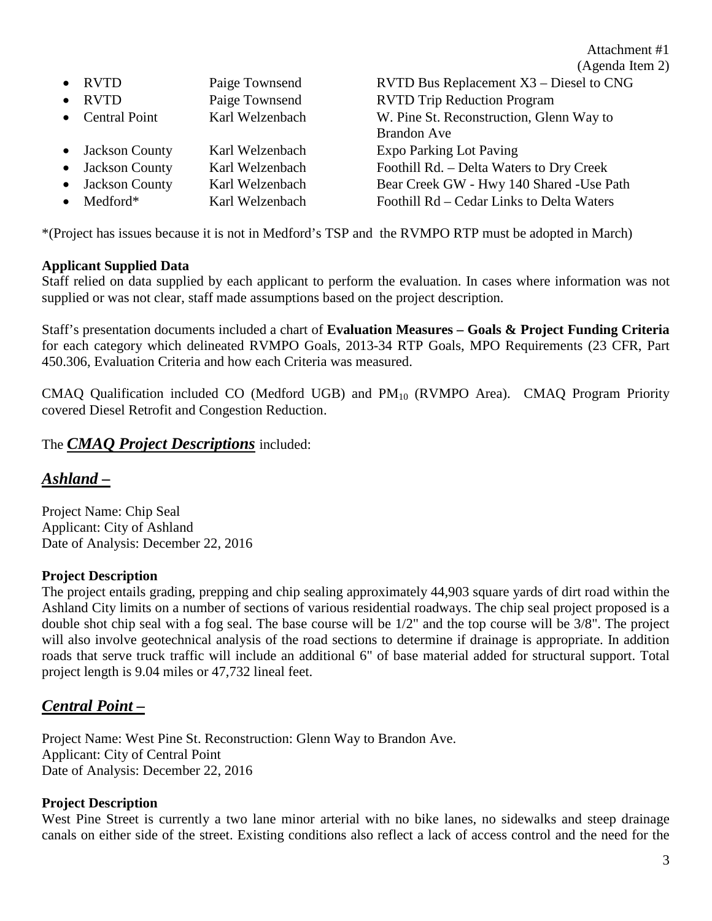Attachment #1 (Agenda Item 2)

|           |                  |                 | (A)                                       |
|-----------|------------------|-----------------|-------------------------------------------|
|           | • RVTD           | Paige Townsend  | RVTD Bus Replacement X3 – Diesel to CNG   |
|           | $\bullet$ RVTD   | Paige Townsend  | <b>RVTD Trip Reduction Program</b>        |
|           | • Central Point  | Karl Welzenbach | W. Pine St. Reconstruction, Glenn Way to  |
|           |                  |                 | <b>Brandon Ave</b>                        |
|           | • Jackson County | Karl Welzenbach | Expo Parking Lot Paving                   |
|           | • Jackson County | Karl Welzenbach | Foothill Rd. - Delta Waters to Dry Creek  |
|           | • Jackson County | Karl Welzenbach | Bear Creek GW - Hwy 140 Shared - Use Path |
| $\bullet$ | Medford*         | Karl Welzenbach | Foothill Rd - Cedar Links to Delta Waters |
|           |                  |                 |                                           |

\*(Project has issues because it is not in Medford's TSP and the RVMPO RTP must be adopted in March)

### **Applicant Supplied Data**

Staff relied on data supplied by each applicant to perform the evaluation. In cases where information was not supplied or was not clear, staff made assumptions based on the project description.

Staff's presentation documents included a chart of **Evaluation Measures – Goals & Project Funding Criteria** for each category which delineated RVMPO Goals, 2013-34 RTP Goals, MPO Requirements (23 CFR, Part 450.306, Evaluation Criteria and how each Criteria was measured.

CMAQ Qualification included CO (Medford UGB) and PM<sub>10</sub> (RVMPO Area). CMAQ Program Priority covered Diesel Retrofit and Congestion Reduction.

## The *CMAQ Project Descriptions* included:

## *Ashland –*

Project Name: Chip Seal Applicant: City of Ashland Date of Analysis: December 22, 2016

#### **Project Description**

The project entails grading, prepping and chip sealing approximately 44,903 square yards of dirt road within the Ashland City limits on a number of sections of various residential roadways. The chip seal project proposed is a double shot chip seal with a fog seal. The base course will be 1/2" and the top course will be 3/8". The project will also involve geotechnical analysis of the road sections to determine if drainage is appropriate. In addition roads that serve truck traffic will include an additional 6" of base material added for structural support. Total project length is 9.04 miles or 47,732 lineal feet.

## *Central Point –*

Project Name: West Pine St. Reconstruction: Glenn Way to Brandon Ave. Applicant: City of Central Point Date of Analysis: December 22, 2016

### **Project Description**

West Pine Street is currently a two lane minor arterial with no bike lanes, no sidewalks and steep drainage canals on either side of the street. Existing conditions also reflect a lack of access control and the need for the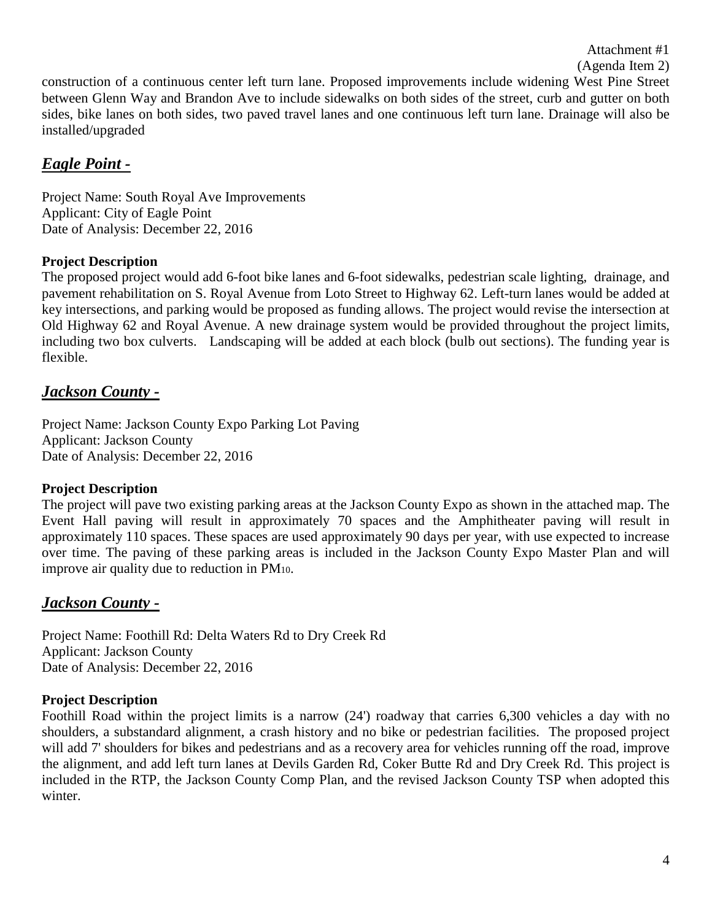Attachment #1

#### (Agenda Item 2)

construction of a continuous center left turn lane. Proposed improvements include widening West Pine Street between Glenn Way and Brandon Ave to include sidewalks on both sides of the street, curb and gutter on both sides, bike lanes on both sides, two paved travel lanes and one continuous left turn lane. Drainage will also be installed/upgraded

## *Eagle Point -*

Project Name: South Royal Ave Improvements Applicant: City of Eagle Point Date of Analysis: December 22, 2016

## **Project Description**

The proposed project would add 6-foot bike lanes and 6-foot sidewalks, pedestrian scale lighting, drainage, and pavement rehabilitation on S. Royal Avenue from Loto Street to Highway 62. Left-turn lanes would be added at key intersections, and parking would be proposed as funding allows. The project would revise the intersection at Old Highway 62 and Royal Avenue. A new drainage system would be provided throughout the project limits, including two box culverts. Landscaping will be added at each block (bulb out sections). The funding year is flexible.

## *Jackson County -*

Project Name: Jackson County Expo Parking Lot Paving Applicant: Jackson County Date of Analysis: December 22, 2016

### **Project Description**

The project will pave two existing parking areas at the Jackson County Expo as shown in the attached map. The Event Hall paving will result in approximately 70 spaces and the Amphitheater paving will result in approximately 110 spaces. These spaces are used approximately 90 days per year, with use expected to increase over time. The paving of these parking areas is included in the Jackson County Expo Master Plan and will improve air quality due to reduction in PM10.

## *Jackson County -*

Project Name: Foothill Rd: Delta Waters Rd to Dry Creek Rd Applicant: Jackson County Date of Analysis: December 22, 2016

### **Project Description**

Foothill Road within the project limits is a narrow (24') roadway that carries 6,300 vehicles a day with no shoulders, a substandard alignment, a crash history and no bike or pedestrian facilities. The proposed project will add 7' shoulders for bikes and pedestrians and as a recovery area for vehicles running off the road, improve the alignment, and add left turn lanes at Devils Garden Rd, Coker Butte Rd and Dry Creek Rd. This project is included in the RTP, the Jackson County Comp Plan, and the revised Jackson County TSP when adopted this winter.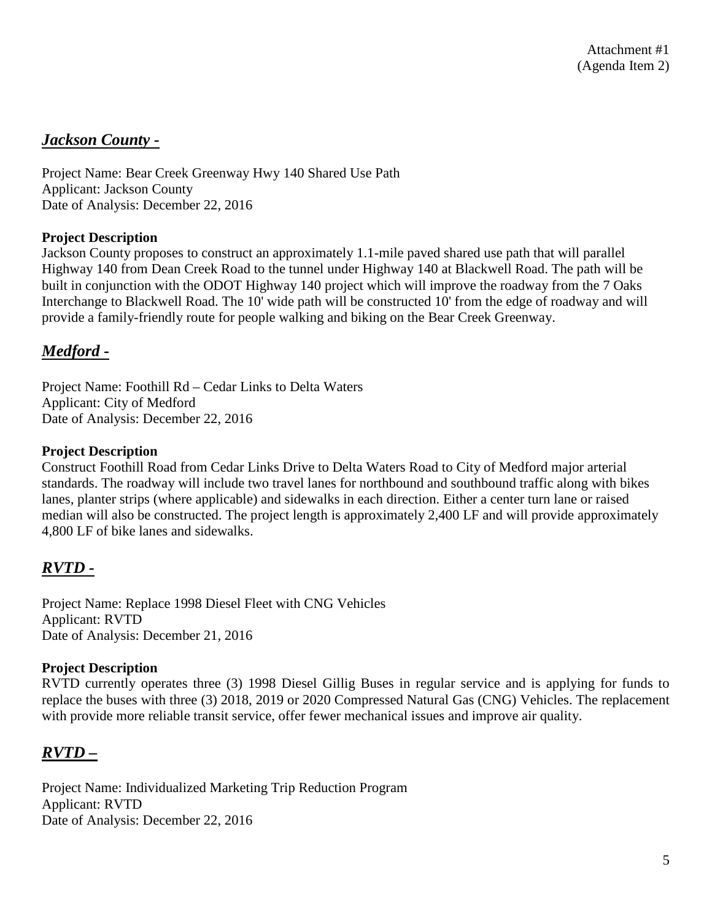## *Jackson County -*

Project Name: Bear Creek Greenway Hwy 140 Shared Use Path Applicant: Jackson County Date of Analysis: December 22, 2016

#### **Project Description**

Jackson County proposes to construct an approximately 1.1-mile paved shared use path that will parallel Highway 140 from Dean Creek Road to the tunnel under Highway 140 at Blackwell Road. The path will be built in conjunction with the ODOT Highway 140 project which will improve the roadway from the 7 Oaks Interchange to Blackwell Road. The 10' wide path will be constructed 10' from the edge of roadway and will provide a family-friendly route for people walking and biking on the Bear Creek Greenway.

## *Medford -*

Project Name: Foothill Rd – Cedar Links to Delta Waters Applicant: City of Medford Date of Analysis: December 22, 2016

#### **Project Description**

Construct Foothill Road from Cedar Links Drive to Delta Waters Road to City of Medford major arterial standards. The roadway will include two travel lanes for northbound and southbound traffic along with bikes lanes, planter strips (where applicable) and sidewalks in each direction. Either a center turn lane or raised median will also be constructed. The project length is approximately 2,400 LF and will provide approximately 4,800 LF of bike lanes and sidewalks.

## *RVTD -*

Project Name: Replace 1998 Diesel Fleet with CNG Vehicles Applicant: RVTD Date of Analysis: December 21, 2016

#### **Project Description**

RVTD currently operates three (3) 1998 Diesel Gillig Buses in regular service and is applying for funds to replace the buses with three (3) 2018, 2019 or 2020 Compressed Natural Gas (CNG) Vehicles. The replacement with provide more reliable transit service, offer fewer mechanical issues and improve air quality.

## *RVTD –*

Project Name: Individualized Marketing Trip Reduction Program Applicant: RVTD Date of Analysis: December 22, 2016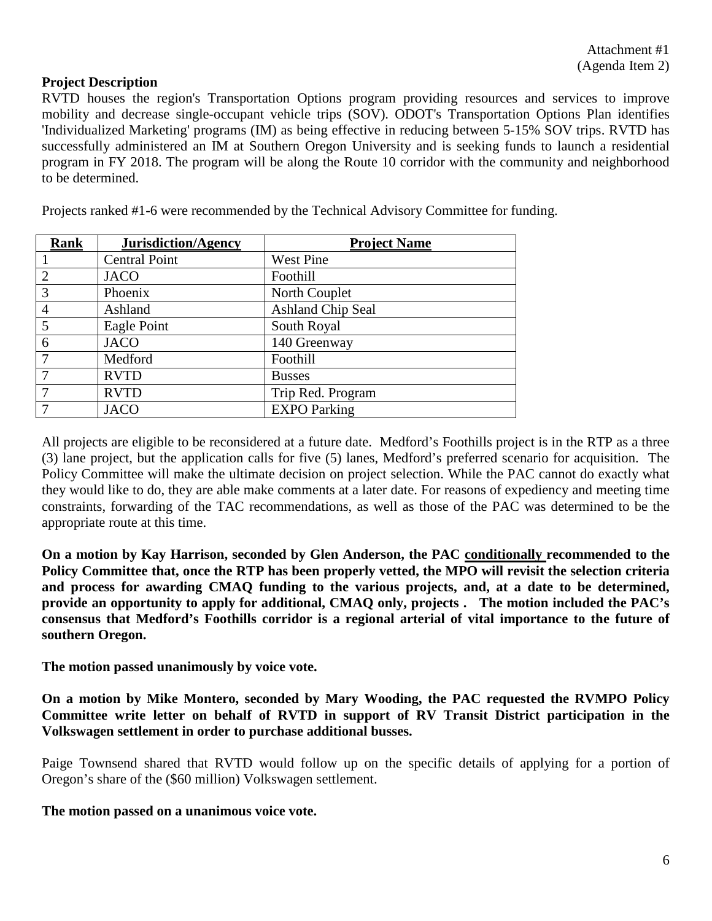#### **Project Description**

RVTD houses the region's Transportation Options program providing resources and services to improve mobility and decrease single-occupant vehicle trips (SOV). ODOT's Transportation Options Plan identifies 'Individualized Marketing' programs (IM) as being effective in reducing between 5-15% SOV trips. RVTD has successfully administered an IM at Southern Oregon University and is seeking funds to launch a residential program in FY 2018. The program will be along the Route 10 corridor with the community and neighborhood to be determined.

| <b>Rank</b>    | <b>Jurisdiction/Agency</b> | <b>Project Name</b>      |
|----------------|----------------------------|--------------------------|
|                | <b>Central Point</b>       | <b>West Pine</b>         |
| 2              | <b>JACO</b>                | Foothill                 |
| $\overline{3}$ | Phoenix                    | North Couplet            |
| $\overline{4}$ | Ashland                    | <b>Ashland Chip Seal</b> |
| $\overline{5}$ | Eagle Point                | South Royal              |
| -6             | <b>JACO</b>                | 140 Greenway             |
| 7              | Medford                    | Foothill                 |
|                | <b>RVTD</b>                | <b>Busses</b>            |
|                | <b>RVTD</b>                | Trip Red. Program        |
|                | <b>JACO</b>                | <b>EXPO</b> Parking      |

Projects ranked #1-6 were recommended by the Technical Advisory Committee for funding.

All projects are eligible to be reconsidered at a future date. Medford's Foothills project is in the RTP as a three (3) lane project, but the application calls for five (5) lanes, Medford's preferred scenario for acquisition. The Policy Committee will make the ultimate decision on project selection. While the PAC cannot do exactly what they would like to do, they are able make comments at a later date. For reasons of expediency and meeting time constraints, forwarding of the TAC recommendations, as well as those of the PAC was determined to be the appropriate route at this time.

**On a motion by Kay Harrison, seconded by Glen Anderson, the PAC conditionally recommended to the Policy Committee that, once the RTP has been properly vetted, the MPO will revisit the selection criteria and process for awarding CMAQ funding to the various projects, and, at a date to be determined, provide an opportunity to apply for additional, CMAQ only, projects . The motion included the PAC's consensus that Medford's Foothills corridor is a regional arterial of vital importance to the future of southern Oregon.** 

**The motion passed unanimously by voice vote.**

**On a motion by Mike Montero, seconded by Mary Wooding, the PAC requested the RVMPO Policy Committee write letter on behalf of RVTD in support of RV Transit District participation in the Volkswagen settlement in order to purchase additional busses.** 

Paige Townsend shared that RVTD would follow up on the specific details of applying for a portion of Oregon's share of the (\$60 million) Volkswagen settlement.

#### **The motion passed on a unanimous voice vote.**